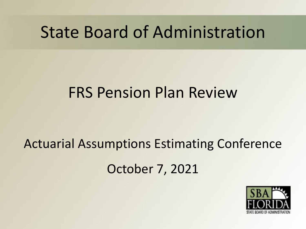# State Board of Administration

# FRS Pension Plan Review

# Actuarial Assumptions Estimating Conference October 7, 2021

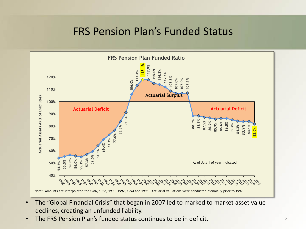#### FRS Pension Plan's Funded Status



- The "Global Financial Crisis" that began in 2007 led to marked to market asset value declines, creating an unfunded liability.
-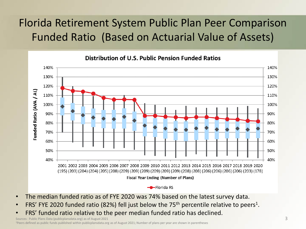# Florida Retirement System Public Plan Peer Comparison Funded Ratio (Based on Actuarial Value of Assets)



- The median funded ratio as of FYE 2020 was 74% based on the latest survey data.
- FRS' FYE 2020 funded ratio (82%) fell just below the 75<sup>th</sup> percentile relative to peers<sup>1</sup>.
- FRS' funded ratio relative to the peer median funded ratio has declined.

Sources: Public Plans Data (publicplansdata.org) as of August 2021 1Peers defined as public funds published within publicplansdata.org as of August 2021; Number of plans per year are shown in parentheses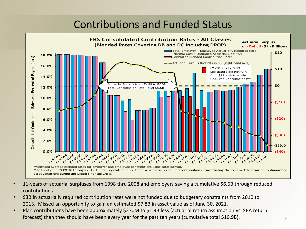## Contributions and Funded Status



- 11-years of actuarial surpluses from 1998 thru 2008 and employers saving a cumulative \$6.6B through reduced contributions.
- \$3B in actuarially required contribution rates were not funded due to budgetary constraints from 2010 to 2013. Missed an opportunity to gain an estimated \$7.8B in asset value as of June 30, 2021.
- Plan contributions have been approximately \$270M to \$1.9B less (actuarial return assumption vs. SBA return forecast) than they should have been every year for the past ten years (cumulative total \$10.9B).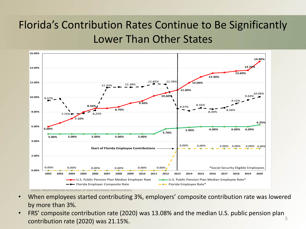# Florida's Contribution Rates Continue to Be Significantly Lower Than Other States



- When employees started contributing 3%, employers' composite contribution rate was lowered by more than 3%.
- FRS' composite contribution rate (2020) was 13.08% and the median U.S. public pension plan contribution rate (2020) was 21.15%. 5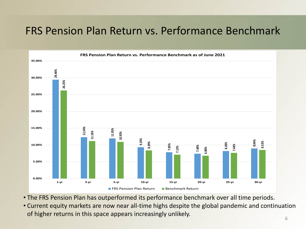## FRS Pension Plan Return vs. Performance Benchmark



• The FRS Pension Plan has outperformed its performance benchmark over all time periods.

• Current equity markets are now near all-time highs despite the global pandemic and continuation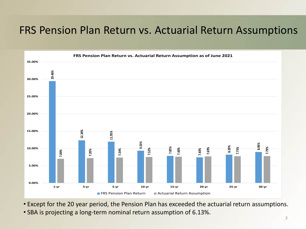## FRS Pension Plan Return vs. Actuarial Return Assumptions



- Except for the 20 year period, the Pension Plan has exceeded the actuarial return assumptions.
- SBA is projecting a long-term nominal return assumption of 6.13%.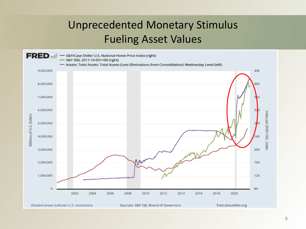# Unprecedented Monetary Stimulus Fueling Asset Values

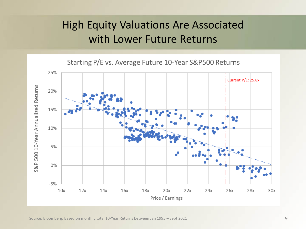# High Equity Valuations Are Associated with Lower Future Returns

Starting P/E vs. Average Future 10-Year S&P500 Returns

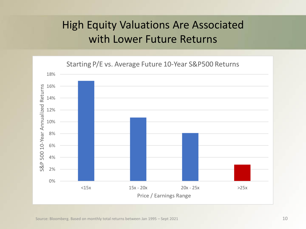# High Equity Valuations Are Associated with Lower Future Returns

Starting P/E vs. Average Future 10-Year S&P500 Returns

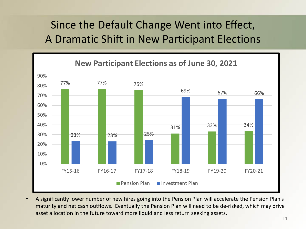# Since the Default Change Went into Effect, A Dramatic Shift in New Participant Elections



• A significantly lower number of new hires going into the Pension Plan will accelerate the Pension Plan's maturity and net cash outflows. Eventually the Pension Plan will need to be de-risked, which may drive asset allocation in the future toward more liquid and less return seeking assets.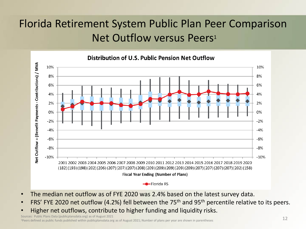# Florida Retirement System Public Plan Peer Comparison Net Outflow versus Peers<sup>1</sup>



- The median net outflow as of FYE 2020 was 2.4% based on the latest survey data.
- FRS' FYE 2020 net outflow (4.2%) fell between the 75<sup>th</sup> and 95<sup>th</sup> percentile relative to its peers.
- Higher net outflows, contribute to higher funding and liquidity risks.

Sources: Public Plans Data (publicplansdata.org) as of August 2021

1Peers defined as public funds published within publicplansdata.org as of August 2021; Number of plans per year are shown in parentheses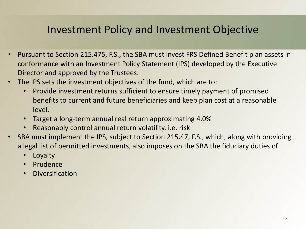- Pursuant to Section 215.475, F.S., the SBA must invest FRS Defined Benefit plan assets in conformance with an Investment Policy Statement (IPS) developed by the Executive Director and approved by the Trustees.
- The IPS sets the investment objectives of the fund, which are to:
	- Provide investment returns sufficient to ensure timely payment of promised benefits to current and future beneficiaries and keep plan cost at a reasonable level.
	- Target a long-term annual real return approximating 4.0%
	- Reasonably control annual return volatility, i.e. risk
- SBA must implement the IPS, subject to Section 215.47, F.S., which, along with providing a legal list of permitted investments, also imposes on the SBA the fiduciary duties of
	- Loyalty
	- Prudence
	- Diversification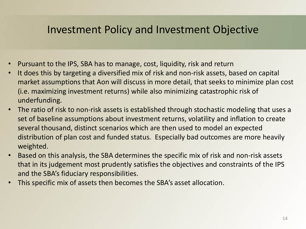- Pursuant to the IPS, SBA has to manage, cost, liquidity, risk and return
- It does this by targeting a diversified mix of risk and non-risk assets, based on capital market assumptions that Aon will discuss in more detail, that seeks to minimize plan cost (i.e. maximizing investment returns) while also minimizing catastrophic risk of underfunding.
- The ratio of risk to non-risk assets is established through stochastic modeling that uses a set of baseline assumptions about investment returns, volatility and inflation to create several thousand, distinct scenarios which are then used to model an expected distribution of plan cost and funded status. Especially bad outcomes are more heavily weighted.
- Based on this analysis, the SBA determines the specific mix of risk and non-risk assets that in its judgement most prudently satisfies the objectives and constraints of the IPS and the SBA's fiduciary responsibilities.
- This specific mix of assets then becomes the SBA's asset allocation.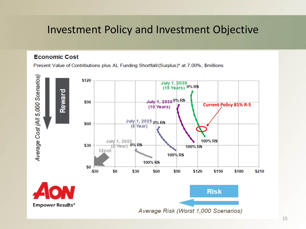#### **Economic Cost**

Present Value of Contributions plus AL Funding Shortfall/(Surplus)\* at 7.00%, \$millions

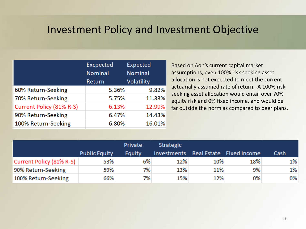|                          | <b>Excpected</b><br><b>Nominal</b> | <b>Expected</b><br><b>Nominal</b> |  |
|--------------------------|------------------------------------|-----------------------------------|--|
|                          | Return                             | <b>Volatility</b>                 |  |
| 60% Return-Seeking       | 5.36%                              | 9.82%                             |  |
| 70% Return-Seeking       | 5.75%                              | 11.33%                            |  |
| Current Policy (81% R-S) | 6.13%                              | 12.99%                            |  |
| 90% Return-Seeking       | 6.47%                              | 14.43%                            |  |
| 100% Return-Seeking      | 6.80%                              | 16.01%                            |  |

Based on Aon's current capital market assumptions, even 100% risk seeking asset allocation is not expected to meet the current actuarially assumed rate of return. A 100% risk seeking asset allocation would entail over 70% equity risk and 0% fixed income, and would be far outside the norm as compared to peer plans.

|                          |                      | Private | <b>Strategic</b> |     |                          |      |
|--------------------------|----------------------|---------|------------------|-----|--------------------------|------|
|                          | <b>Public Equity</b> | Equity  | Investments      |     | Real Estate Fixed Income | Cash |
| Current Policy (81% R-S) | 53%                  | 6%      | 12%              | 10% | 18%                      | 1%   |
| 90% Return-Seeking       | 59%                  | 7%      | 13%              | 11% | 9%                       | 1%   |
| 100% Return-Seeking      | 66%                  | 7%      | 15%              | 12% | 0%                       | 0%   |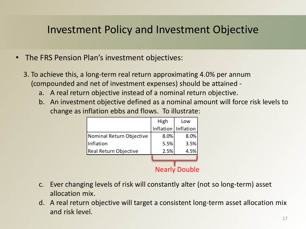- The FRS Pension Plan's investment objectives:
	- 3. To achieve this, a long-term real return approximating 4.0% per annum (compounded and net of investment expenses) should be attained
		- a. A real return objective instead of a nominal return objective.
		- b. An investment objective defined as a nominal amount will force risk levels to change as inflation ebbs and flows. To illustrate:

|                          | High | Low                  |
|--------------------------|------|----------------------|
|                          |      | Inflation Inflation  |
| Nominal Return Objective | 8.0% | 8.0%                 |
| Inflation                | 5.5% | 3.5%                 |
| Real Return Objective    | 2.5% | 4.5%                 |
|                          |      |                      |
|                          |      | <b>Nearly Double</b> |

- c. Ever changing levels of risk will constantly alter (not so long-term) asset allocation mix.
- d. A real return objective will target a consistent long-term asset allocation mix and risk level.